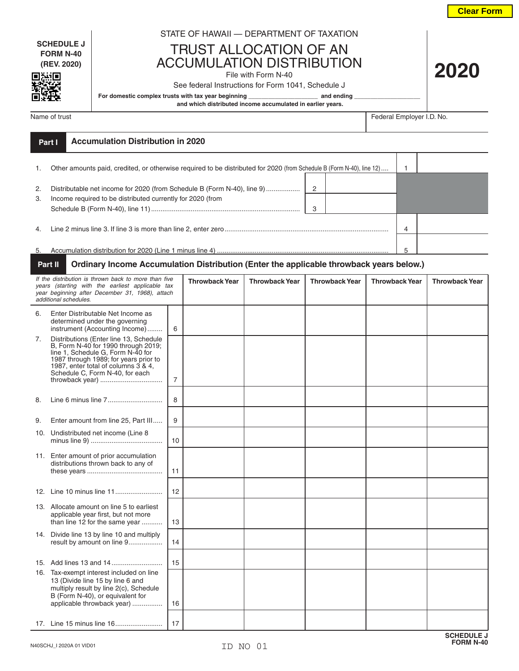**Clear Form**

**2020**

**SCHEDULE J FORM N-40 (REV. 2020)**

同海面

## STATE OF HAWAII — DEPARTMENT OF TAXATION

TRUST ALLOCATION OF AN ACCUMULATION DISTRIBUTION

## File with Form N-40

See federal Instructions for Form 1041, Schedule J

For domestic complex trusts with tax year beginning **\_\_\_\_\_\_\_\_\_\_\_\_\_\_\_\_\_\_\_\_** and ending

 **and which distributed income accumulated in earlier years.**

Name of trust Federal Employer I.D. No.

|          | Part I | <b>Accumulation Distribution in 2020</b>                                                                                              |                     |   |  |
|----------|--------|---------------------------------------------------------------------------------------------------------------------------------------|---------------------|---|--|
|          |        | Other amounts paid, credited, or otherwise required to be distributed for 2020 (from Schedule B (Form N-40), line 12)                 |                     |   |  |
| 2.<br>3. |        | Distributable net income for 2020 (from Schedule B (Form N-40), line 9)<br>Income required to be distributed currently for 2020 (from | $\overline{2}$<br>3 |   |  |
| 4.       |        |                                                                                                                                       |                     | 4 |  |
| 5.       |        |                                                                                                                                       |                     | 5 |  |

## **Part II Ordinary Income Accumulation Distribution (Enter the applicable throwback years below.)**

| If the distribution is thrown back to more than five<br>years (starting with the earliest applicable tax<br>year beginning after December 31, 1968), attach<br>additional schedules. |                                                                                                                                                                                                                                                          |                | <b>Throwback Year</b> | <b>Throwback Year</b> | <b>Throwback Year</b> | <b>Throwback Year</b> | <b>Throwback Year</b> |
|--------------------------------------------------------------------------------------------------------------------------------------------------------------------------------------|----------------------------------------------------------------------------------------------------------------------------------------------------------------------------------------------------------------------------------------------------------|----------------|-----------------------|-----------------------|-----------------------|-----------------------|-----------------------|
| 6.                                                                                                                                                                                   | Enter Distributable Net Income as<br>determined under the governing<br>instrument (Accounting Income)                                                                                                                                                    | 6              |                       |                       |                       |                       |                       |
| 7.                                                                                                                                                                                   | Distributions (Enter line 13, Schedule<br>B, Form N-40 for 1990 through 2019;<br>line 1, Schedule G, Form N-40 for<br>1987 through 1989; for years prior to<br>1987, enter total of columns 3 & 4,<br>Schedule C, Form N-40, for each<br>throwback year) | $\overline{7}$ |                       |                       |                       |                       |                       |
| 8.                                                                                                                                                                                   |                                                                                                                                                                                                                                                          | 8              |                       |                       |                       |                       |                       |
| 9.                                                                                                                                                                                   | Enter amount from line 25, Part III                                                                                                                                                                                                                      | 9              |                       |                       |                       |                       |                       |
| 10.                                                                                                                                                                                  | Undistributed net income (Line 8                                                                                                                                                                                                                         | 10             |                       |                       |                       |                       |                       |
|                                                                                                                                                                                      | 11. Enter amount of prior accumulation<br>distributions thrown back to any of                                                                                                                                                                            | 11             |                       |                       |                       |                       |                       |
|                                                                                                                                                                                      |                                                                                                                                                                                                                                                          | 12             |                       |                       |                       |                       |                       |
|                                                                                                                                                                                      | 13. Allocate amount on line 5 to earliest<br>applicable year first, but not more<br>than line 12 for the same year                                                                                                                                       | 13             |                       |                       |                       |                       |                       |
|                                                                                                                                                                                      | 14. Divide line 13 by line 10 and multiply<br>result by amount on line 9                                                                                                                                                                                 | 14             |                       |                       |                       |                       |                       |
|                                                                                                                                                                                      |                                                                                                                                                                                                                                                          | 15             |                       |                       |                       |                       |                       |
|                                                                                                                                                                                      | 16. Tax-exempt interest included on line<br>13 (Divide line 15 by line 6 and<br>multiply result by line 2(c), Schedule<br>B (Form N-40), or equivalent for<br>applicable throwback year)                                                                 | 16             |                       |                       |                       |                       |                       |
|                                                                                                                                                                                      |                                                                                                                                                                                                                                                          | 17             |                       |                       |                       |                       |                       |